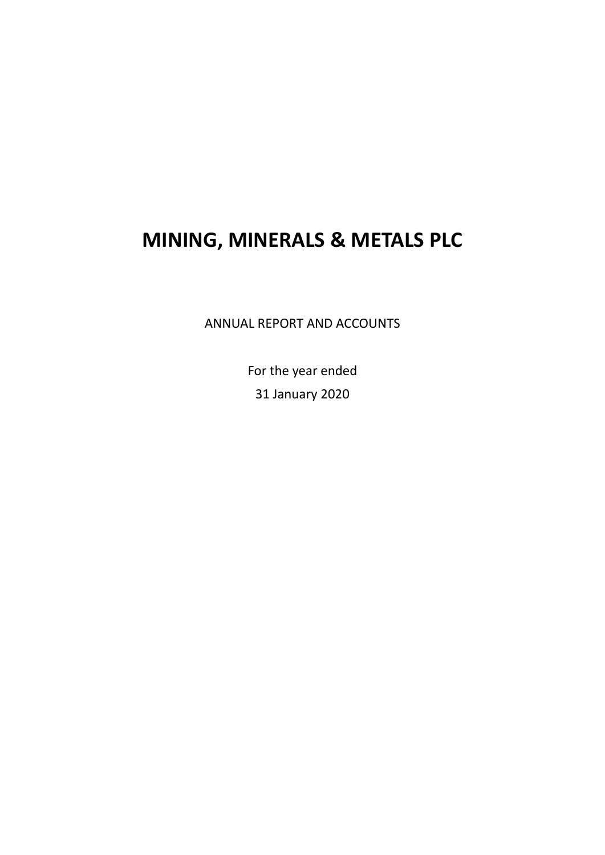ANNUAL REPORT AND ACCOUNTS

For the year ended 31 January 2020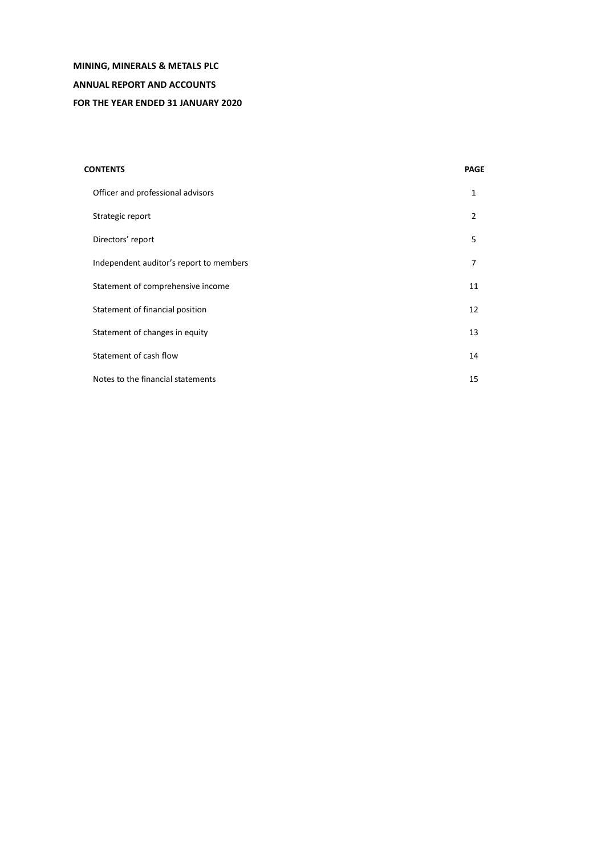# **MINING, MINERALS & METALS PLC ANNUAL REPORT AND ACCOUNTS FOR THE YEAR ENDED 31 JANUARY 2020**

# **CONTENTS PAGE** Officer and professional advisors 1 Strategic report 2 Directors' report 5 Independent auditor's report to members 7 Statement of comprehensive income 11 and 20 km statement of comprehensive income Statement of financial position 12 Statement of changes in equity 13 Statement of cash flow 14 Notes to the financial statements 15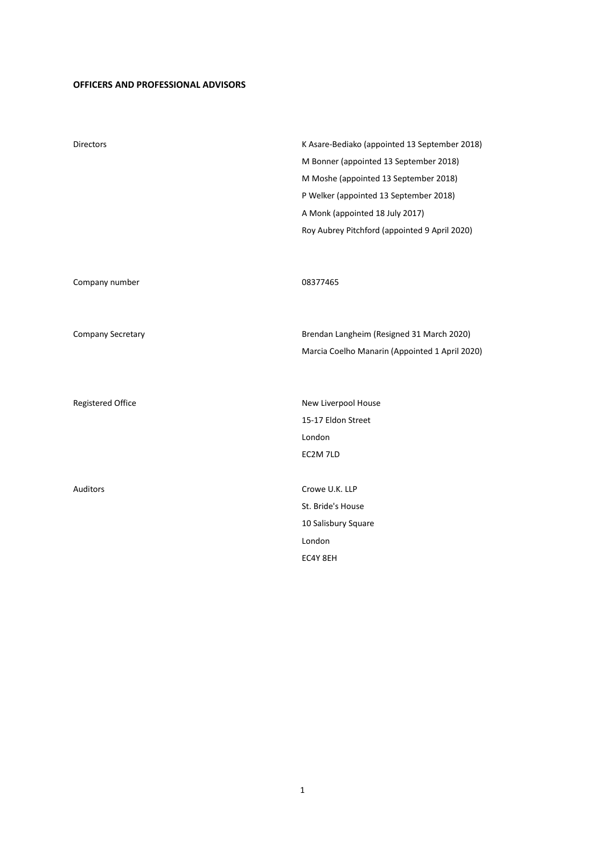# **OFFICERS AND PROFESSIONAL ADVISORS**

| <b>Directors</b>         | K Asare-Bediako (appointed 13 September 2018)  |
|--------------------------|------------------------------------------------|
|                          | M Bonner (appointed 13 September 2018)         |
|                          | M Moshe (appointed 13 September 2018)          |
|                          | P Welker (appointed 13 September 2018)         |
|                          | A Monk (appointed 18 July 2017)                |
|                          | Roy Aubrey Pitchford (appointed 9 April 2020)  |
|                          |                                                |
|                          |                                                |
| Company number           | 08377465                                       |
|                          |                                                |
|                          |                                                |
| Company Secretary        | Brendan Langheim (Resigned 31 March 2020)      |
|                          | Marcia Coelho Manarin (Appointed 1 April 2020) |
|                          |                                                |
|                          |                                                |
| <b>Registered Office</b> | New Liverpool House                            |
|                          | 15-17 Eldon Street                             |
|                          | London                                         |
|                          | EC2M 7LD                                       |
|                          |                                                |
| Auditors                 | Crowe U.K. LLP                                 |
|                          | St. Bride's House                              |
|                          | 10 Salisbury Square                            |
|                          | London                                         |
|                          | EC4Y 8EH                                       |

1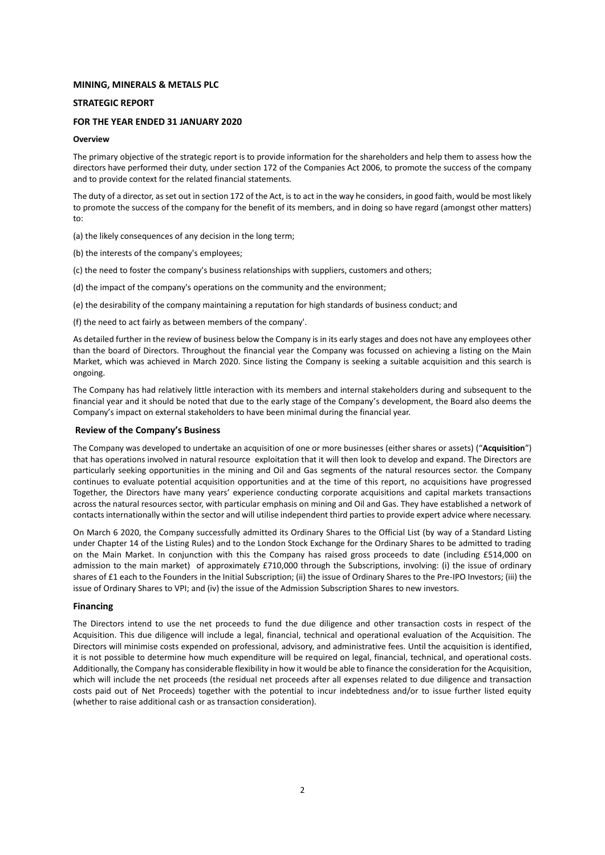### **STRATEGIC REPORT**

### **FOR THE YEAR ENDED 31 JANUARY 2020**

### **Overview**

The primary objective of the strategic report is to provide information for the shareholders and help them to assess how the directors have performed their duty, under section 172 of the Companies Act 2006, to promote the success of the company and to provide context for the related financial statements.

The duty of a director, as set out in section 172 of the Act, is to act in the way he considers, in good faith, would be most likely to promote the success of the company for the benefit of its members, and in doing so have regard (amongst other matters) to:

(a) the likely consequences of any decision in the long term;

(b) the interests of the company's employees;

(c) the need to foster the company's business relationships with suppliers, customers and others;

(d) the impact of the company's operations on the community and the environment;

(e) the desirability of the company maintaining a reputation for high standards of business conduct; and

(f) the need to act fairly as between members of the company'.

As detailed further in the review of business below the Company is in its early stages and does not have any employees other than the board of Directors. Throughout the financial year the Company was focussed on achieving a listing on the Main Market, which was achieved in March 2020. Since listing the Company is seeking a suitable acquisition and this search is ongoing.

The Company has had relatively little interaction with its members and internal stakeholders during and subsequent to the financial year and it should be noted that due to the early stage of the Company's development, the Board also deems the Company's impact on external stakeholders to have been minimal during the financial year.

### **Review of the Company's Business**

The Company was developed to undertake an acquisition of one or more businesses (either shares or assets) ("**Acquisition**") that has operations involved in natural resource exploitation that it will then look to develop and expand. The Directors are particularly seeking opportunities in the mining and Oil and Gas segments of the natural resources sector. the Company continues to evaluate potential acquisition opportunities and at the time of this report, no acquisitions have progressed Together, the Directors have many years' experience conducting corporate acquisitions and capital markets transactions across the natural resources sector, with particular emphasis on mining and Oil and Gas. They have established a network of contacts internationally within the sector and will utilise independent third parties to provide expert advice where necessary.

On March 6 2020, the Company successfully admitted its Ordinary Shares to the Official List (by way of a Standard Listing under Chapter 14 of the Listing Rules) and to the London Stock Exchange for the Ordinary Shares to be admitted to trading on the Main Market. In conjunction with this the Company has raised gross proceeds to date (including £514,000 on admission to the main market) of approximately £710,000 through the Subscriptions, involving: (i) the issue of ordinary shares of £1 each to the Founders in the Initial Subscription; (ii) the issue of Ordinary Shares to the Pre-IPO Investors; (iii) the issue of Ordinary Shares to VPI; and (iv) the issue of the Admission Subscription Shares to new investors.

### **Financing**

The Directors intend to use the net proceeds to fund the due diligence and other transaction costs in respect of the Acquisition. This due diligence will include a legal, financial, technical and operational evaluation of the Acquisition. The Directors will minimise costs expended on professional, advisory, and administrative fees. Until the acquisition is identified, it is not possible to determine how much expenditure will be required on legal, financial, technical, and operational costs. Additionally, the Company has considerable flexibility in how it would be able to finance the consideration for the Acquisition, which will include the net proceeds (the residual net proceeds after all expenses related to due diligence and transaction costs paid out of Net Proceeds) together with the potential to incur indebtedness and/or to issue further listed equity (whether to raise additional cash or as transaction consideration).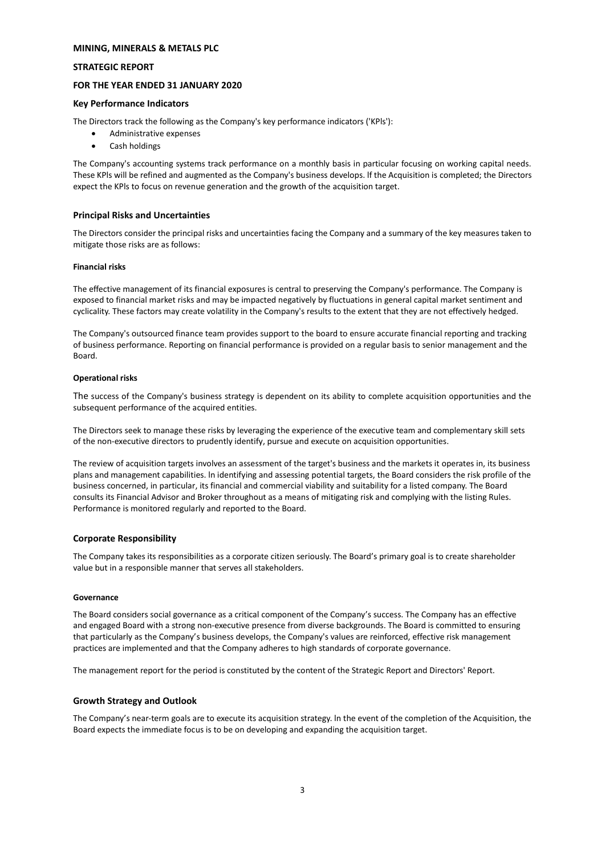### **STRATEGIC REPORT**

## **FOR THE YEAR ENDED 31 JANUARY 2020**

### **Key Performance Indicators**

The Directors track the following as the Company's key performance indicators ('KPls'):

- Administrative expenses
- Cash holdings

The Company's accounting systems track performance on a monthly basis in particular focusing on working capital needs. These KPls will be refined and augmented as the Company's business develops. lf the Acquisition is completed; the Directors expect the KPls to focus on revenue generation and the growth of the acquisition target.

### **Principal Risks and Uncertainties**

The Directors consider the principal risks and uncertainties facing the Company and a summary of the key measures taken to mitigate those risks are as follows:

### **Financial risks**

The effective management of its financial exposures is central to preserving the Company's performance. The Company is exposed to financial market risks and may be impacted negatively by fluctuations in general capital market sentiment and cyclicality. These factors may create volatility in the Company's results to the extent that they are not effectively hedged.

The Company's outsourced finance team provides support to the board to ensure accurate financial reporting and tracking of business performance. Reporting on financial performance is provided on a regular basis to senior management and the Board.

### **Operational risks**

The success of the Company's business strategy is dependent on its ability to complete acquisition opportunities and the subsequent performance of the acquired entities.

The Directors seek to manage these risks by leveraging the experience of the executive team and complementary skill sets of the non-executive directors to prudently identify, pursue and execute on acquisition opportunities.

The review of acquisition targets involves an assessment of the target's business and the markets it operates in, its business plans and management capabilities. ln identifying and assessing potential targets, the Board considers the risk profile of the business concerned, in particular, its financial and commercial viability and suitability for a listed company. The Board consults its Financial Advisor and Broker throughout as a means of mitigating risk and complying with the listing Rules. Performance is monitored regularly and reported to the Board.

# **Corporate Responsibility**

The Company takes its responsibilities as a corporate citizen seriously. The Board's primary goal is to create shareholder value but in a responsible manner that serves all stakeholders.

### **Governance**

The Board considers social governance as a critical component of the Company's success. The Company has an effective and engaged Board with a strong non-executive presence from diverse backgrounds. The Board is committed to ensuring that particularly as the Company's business develops, the Company's values are reinforced, effective risk management practices are implemented and that the Company adheres to high standards of corporate governance.

The management report for the period is constituted by the content of the Strategic Report and Directors' Report.

# **Growth Strategy and Outlook**

The Company's near-term goals are to execute its acquisition strategy. ln the event of the completion of the Acquisition, the Board expects the immediate focus is to be on developing and expanding the acquisition target.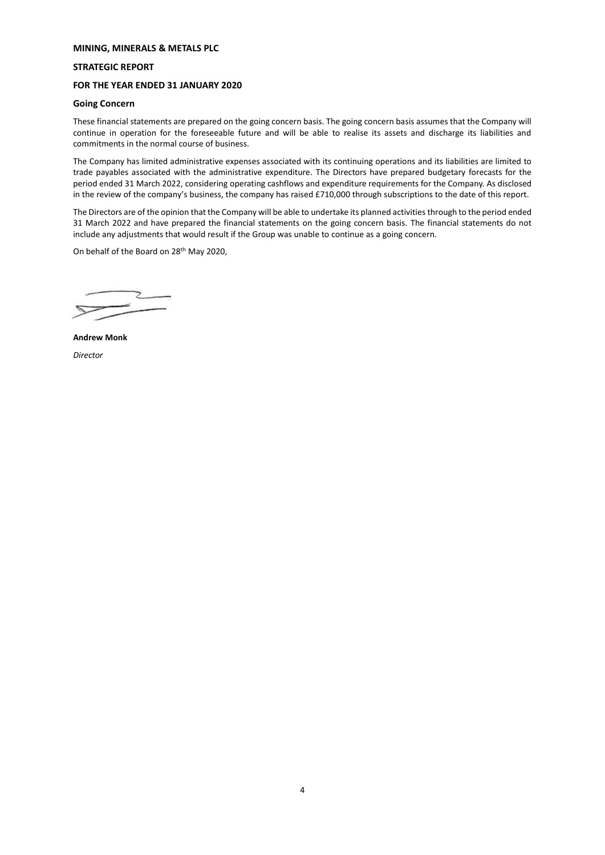# **STRATEGIC REPORT**

# **FOR THE YEAR ENDED 31 JANUARY 2020**

# **Going Concern**

These financial statements are prepared on the going concern basis. The going concern basis assumes that the Company will continue in operation for the foreseeable future and will be able to realise its assets and discharge its liabilities and commitments in the normal course of business.

The Company has limited administrative expenses associated with its continuing operations and its liabilities are limited to trade payables associated with the administrative expenditure. The Directors have prepared budgetary forecasts for the period ended 31 March 2022, considering operating cashflows and expenditure requirements for the Company. As disclosed in the review of the company's business, the company has raised £710,000 through subscriptions to the date of this report.

The Directors are of the opinion that the Company will be able to undertake its planned activities through to the period ended 31 March 2022 and have prepared the financial statements on the going concern basis. The financial statements do not include any adjustments that would result if the Group was unable to continue as a going concern.

On behalf of the Board on 28th May 2020,

**Andrew Monk** *Director*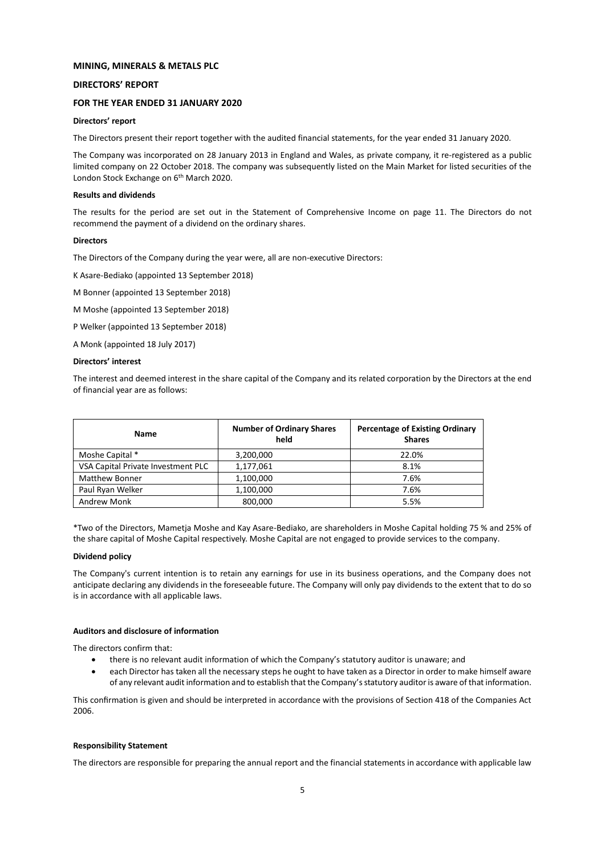### **DIRECTORS' REPORT**

### **FOR THE YEAR ENDED 31 JANUARY 2020**

### **Directors' report**

The Directors present their report together with the audited financial statements, for the year ended 31 January 2020.

The Company was incorporated on 28 January 2013 in England and Wales, as private company, it re-registered as a public limited company on 22 October 2018. The company was subsequently listed on the Main Market for listed securities of the London Stock Exchange on 6<sup>th</sup> March 2020.

### **Results and dividends**

The results for the period are set out in the Statement of Comprehensive Income on page 11. The Directors do not recommend the payment of a dividend on the ordinary shares.

### **Directors**

The Directors of the Company during the year were, all are non-executive Directors:

K Asare-Bediako (appointed 13 September 2018)

M Bonner (appointed 13 September 2018)

M Moshe (appointed 13 September 2018)

P Welker (appointed 13 September 2018)

A Monk (appointed 18 July 2017)

### **Directors' interest**

The interest and deemed interest in the share capital of the Company and its related corporation by the Directors at the end of financial year are as follows:

| Name                               | <b>Number of Ordinary Shares</b><br>held | <b>Percentage of Existing Ordinary</b><br><b>Shares</b> |
|------------------------------------|------------------------------------------|---------------------------------------------------------|
| Moshe Capital *                    | 3,200,000                                | 22.0%                                                   |
| VSA Capital Private Investment PLC | 1,177,061                                | 8.1%                                                    |
| <b>Matthew Bonner</b>              | 1,100,000                                | 7.6%                                                    |
| Paul Ryan Welker                   | 1,100,000                                | 7.6%                                                    |
| Andrew Monk                        | 800,000                                  | 5.5%                                                    |

\*Two of the Directors, Mametja Moshe and Kay Asare-Bediako, are shareholders in Moshe Capital holding 75 % and 25% of the share capital of Moshe Capital respectively. Moshe Capital are not engaged to provide services to the company.

#### **Dividend policy**

The Company's current intention is to retain any earnings for use in its business operations, and the Company does not anticipate declaring any dividends in the foreseeable future. The Company will only pay dividends to the extent that to do so is in accordance with all applicable laws.

# **Auditors and disclosure of information**

The directors confirm that:

- there is no relevant audit information of which the Company's statutory auditor is unaware; and
- each Director has taken all the necessary steps he ought to have taken as a Director in order to make himself aware of any relevant audit information and to establish that the Company's statutory auditor is aware of that information.

This confirmation is given and should be interpreted in accordance with the provisions of Section 418 of the Companies Act 2006.

#### **Responsibility Statement**

The directors are responsible for preparing the annual report and the financial statements in accordance with applicable law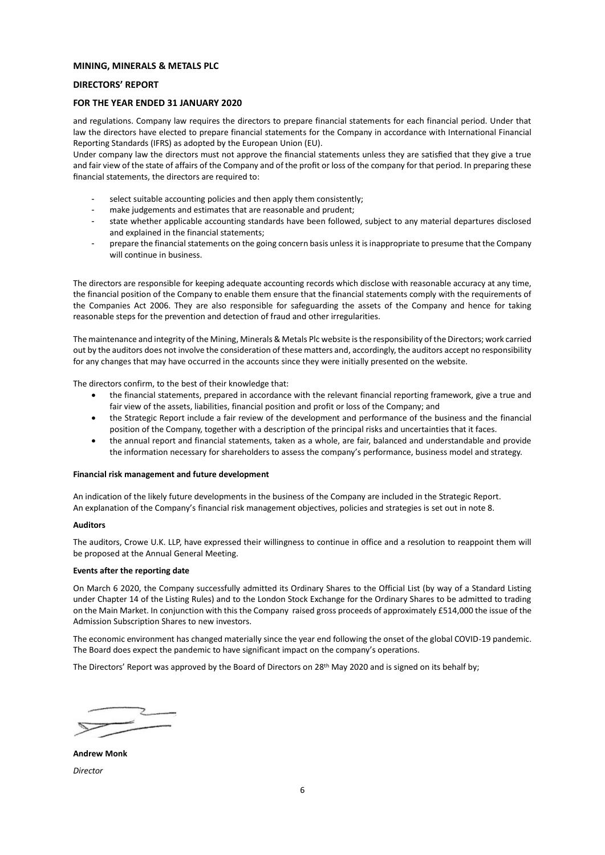### **DIRECTORS' REPORT**

### **FOR THE YEAR ENDED 31 JANUARY 2020**

and regulations. Company law requires the directors to prepare financial statements for each financial period. Under that law the directors have elected to prepare financial statements for the Company in accordance with International Financial Reporting Standards (IFRS) as adopted by the European Union (EU).

Under company law the directors must not approve the financial statements unless they are satisfied that they give a true and fair view of the state of affairs of the Company and of the profit or loss of the company for that period. In preparing these financial statements, the directors are required to:

- select suitable accounting policies and then apply them consistently;
- make judgements and estimates that are reasonable and prudent;
- state whether applicable accounting standards have been followed, subject to any material departures disclosed and explained in the financial statements;
- prepare the financial statements on the going concern basis unless it is inappropriate to presume that the Company will continue in business.

The directors are responsible for keeping adequate accounting records which disclose with reasonable accuracy at any time, the financial position of the Company to enable them ensure that the financial statements comply with the requirements of the Companies Act 2006. They are also responsible for safeguarding the assets of the Company and hence for taking reasonable steps for the prevention and detection of fraud and other irregularities.

The maintenance and integrity of the Mining, Minerals & Metals Plc website is the responsibility of the Directors; work carried out by the auditors does not involve the consideration of these matters and, accordingly, the auditors accept no responsibility for any changes that may have occurred in the accounts since they were initially presented on the website.

The directors confirm, to the best of their knowledge that:

- the financial statements, prepared in accordance with the relevant financial reporting framework, give a true and fair view of the assets, liabilities, financial position and profit or loss of the Company; and
- the Strategic Report include a fair review of the development and performance of the business and the financial position of the Company, together with a description of the principal risks and uncertainties that it faces.
- the annual report and financial statements, taken as a whole, are fair, balanced and understandable and provide the information necessary for shareholders to assess the company's performance, business model and strategy.

#### **Financial risk management and future development**

An indication of the likely future developments in the business of the Company are included in the Strategic Report. An explanation of the Company's financial risk management objectives, policies and strategies is set out in note 8.

### **Auditors**

The auditors, Crowe U.K. LLP, have expressed their willingness to continue in office and a resolution to reappoint them will be proposed at the Annual General Meeting.

#### **Events after the reporting date**

On March 6 2020, the Company successfully admitted its Ordinary Shares to the Official List (by way of a Standard Listing under Chapter 14 of the Listing Rules) and to the London Stock Exchange for the Ordinary Shares to be admitted to trading on the Main Market. In conjunction with this the Company raised gross proceeds of approximately £514,000 the issue of the Admission Subscription Shares to new investors.

The economic environment has changed materially since the year end following the onset of the global COVID-19 pandemic. The Board does expect the pandemic to have significant impact on the company's operations.

The Directors' Report was approved by the Board of Directors on 28<sup>th</sup> May 2020 and is signed on its behalf by:

**Andrew Monk** *Director*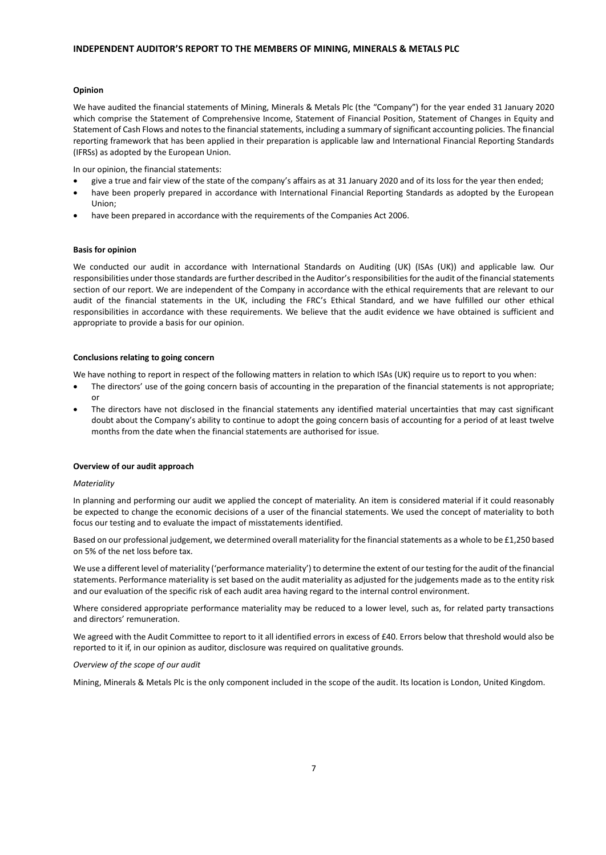### **Opinion**

We have audited the financial statements of Mining, Minerals & Metals Plc (the "Company") for the year ended 31 January 2020 which comprise the Statement of Comprehensive Income, Statement of Financial Position, Statement of Changes in Equity and Statement of Cash Flows and notes to the financial statements, including a summary of significant accounting policies. The financial reporting framework that has been applied in their preparation is applicable law and International Financial Reporting Standards (IFRSs) as adopted by the European Union.

In our opinion, the financial statements:

- give a true and fair view of the state of the company's affairs as at 31 January 2020 and of its loss for the year then ended;
- have been properly prepared in accordance with International Financial Reporting Standards as adopted by the European Union;
- have been prepared in accordance with the requirements of the Companies Act 2006.

#### **Basis for opinion**

We conducted our audit in accordance with International Standards on Auditing (UK) (ISAs (UK)) and applicable law. Our responsibilities under those standards are further described in the Auditor's responsibilities for the audit of the financial statements section of our report. We are independent of the Company in accordance with the ethical requirements that are relevant to our audit of the financial statements in the UK, including the FRC's Ethical Standard, and we have fulfilled our other ethical responsibilities in accordance with these requirements. We believe that the audit evidence we have obtained is sufficient and appropriate to provide a basis for our opinion.

#### **Conclusions relating to going concern**

We have nothing to report in respect of the following matters in relation to which ISAs (UK) require us to report to you when:

- The directors' use of the going concern basis of accounting in the preparation of the financial statements is not appropriate; or
- The directors have not disclosed in the financial statements any identified material uncertainties that may cast significant doubt about the Company's ability to continue to adopt the going concern basis of accounting for a period of at least twelve months from the date when the financial statements are authorised for issue.

#### **Overview of our audit approach**

### *Materiality*

In planning and performing our audit we applied the concept of materiality. An item is considered material if it could reasonably be expected to change the economic decisions of a user of the financial statements. We used the concept of materiality to both focus our testing and to evaluate the impact of misstatements identified.

Based on our professional judgement, we determined overall materiality for the financial statements as a whole to be £1,250 based on 5% of the net loss before tax.

We use a different level of materiality ('performance materiality') to determine the extent of our testing for the audit of the financial statements. Performance materiality is set based on the audit materiality as adjusted for the judgements made as to the entity risk and our evaluation of the specific risk of each audit area having regard to the internal control environment.

Where considered appropriate performance materiality may be reduced to a lower level, such as, for related party transactions and directors' remuneration.

We agreed with the Audit Committee to report to it all identified errors in excess of £40. Errors below that threshold would also be reported to it if, in our opinion as auditor, disclosure was required on qualitative grounds.

### *Overview of the scope of our audit*

Mining, Minerals & Metals Plc is the only component included in the scope of the audit. Its location is London, United Kingdom.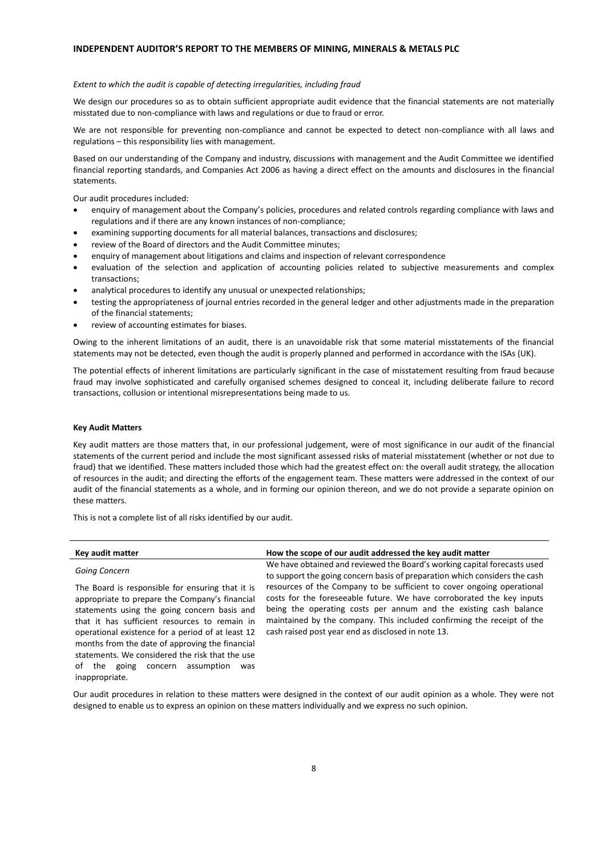#### *Extent to which the audit is capable of detecting irregularities, including fraud*

We design our procedures so as to obtain sufficient appropriate audit evidence that the financial statements are not materially misstated due to non-compliance with laws and regulations or due to fraud or error.

We are not responsible for preventing non-compliance and cannot be expected to detect non-compliance with all laws and regulations – this responsibility lies with management.

Based on our understanding of the Company and industry, discussions with management and the Audit Committee we identified financial reporting standards, and Companies Act 2006 as having a direct effect on the amounts and disclosures in the financial statements.

Our audit procedures included:

- enquiry of management about the Company's policies, procedures and related controls regarding compliance with laws and regulations and if there are any known instances of non-compliance;
- examining supporting documents for all material balances, transactions and disclosures;
- review of the Board of directors and the Audit Committee minutes;
- enquiry of management about litigations and claims and inspection of relevant correspondence
- evaluation of the selection and application of accounting policies related to subjective measurements and complex transactions;
- analytical procedures to identify any unusual or unexpected relationships;
- testing the appropriateness of journal entries recorded in the general ledger and other adjustments made in the preparation of the financial statements;
- review of accounting estimates for biases.

Owing to the inherent limitations of an audit, there is an unavoidable risk that some material misstatements of the financial statements may not be detected, even though the audit is properly planned and performed in accordance with the ISAs (UK).

The potential effects of inherent limitations are particularly significant in the case of misstatement resulting from fraud because fraud may involve sophisticated and carefully organised schemes designed to conceal it, including deliberate failure to record transactions, collusion or intentional misrepresentations being made to us.

### **Key Audit Matters**

inappropriate.

Key audit matters are those matters that, in our professional judgement, were of most significance in our audit of the financial statements of the current period and include the most significant assessed risks of material misstatement (whether or not due to fraud) that we identified. These matters included those which had the greatest effect on: the overall audit strategy, the allocation of resources in the audit; and directing the efforts of the engagement team. These matters were addressed in the context of our audit of the financial statements as a whole, and in forming our opinion thereon, and we do not provide a separate opinion on these matters.

This is not a complete list of all risks identified by our audit.

| Key audit matter                                                                                                                                                                                                                                                                                                                                                                                                  | How the scope of our audit addressed the key audit matter                                                                                                                                                                                                                                                                                            |
|-------------------------------------------------------------------------------------------------------------------------------------------------------------------------------------------------------------------------------------------------------------------------------------------------------------------------------------------------------------------------------------------------------------------|------------------------------------------------------------------------------------------------------------------------------------------------------------------------------------------------------------------------------------------------------------------------------------------------------------------------------------------------------|
| Going Concern                                                                                                                                                                                                                                                                                                                                                                                                     | We have obtained and reviewed the Board's working capital forecasts used<br>to support the going concern basis of preparation which considers the cash                                                                                                                                                                                               |
| The Board is responsible for ensuring that it is<br>appropriate to prepare the Company's financial<br>statements using the going concern basis and<br>that it has sufficient resources to remain in<br>operational existence for a period of at least 12<br>months from the date of approving the financial<br>statements. We considered the risk that the use<br>of the<br>assumption<br>going<br>concern<br>was | resources of the Company to be sufficient to cover ongoing operational<br>costs for the foreseeable future. We have corroborated the key inputs<br>being the operating costs per annum and the existing cash balance<br>maintained by the company. This included confirming the receipt of the<br>cash raised post year end as disclosed in note 13. |

Our audit procedures in relation to these matters were designed in the context of our audit opinion as a whole. They were not designed to enable us to express an opinion on these matters individually and we express no such opinion.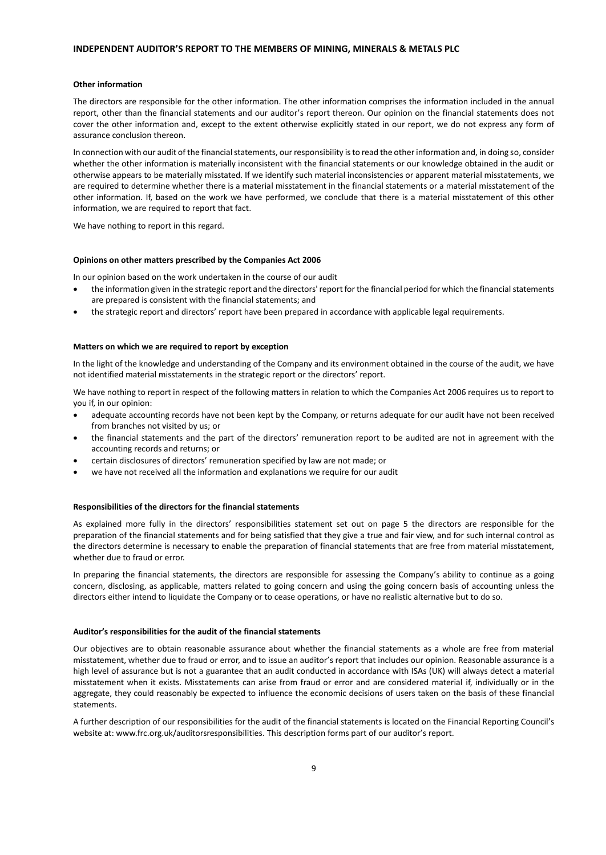# **INDEPENDENT AUDITOR'S REPORT TO THE MEMBERS OF MINING, MINERALS & METALS PLC**

#### **Other information**

The directors are responsible for the other information. The other information comprises the information included in the annual report, other than the financial statements and our auditor's report thereon. Our opinion on the financial statements does not cover the other information and, except to the extent otherwise explicitly stated in our report, we do not express any form of assurance conclusion thereon.

In connection with our audit of the financial statements, our responsibility is to read the other information and, in doing so, consider whether the other information is materially inconsistent with the financial statements or our knowledge obtained in the audit or otherwise appears to be materially misstated. If we identify such material inconsistencies or apparent material misstatements, we are required to determine whether there is a material misstatement in the financial statements or a material misstatement of the other information. If, based on the work we have performed, we conclude that there is a material misstatement of this other information, we are required to report that fact.

We have nothing to report in this regard.

### **Opinions on other matters prescribed by the Companies Act 2006**

In our opinion based on the work undertaken in the course of our audit

- the information given in the strategic report and the directors' report for the financial period for which the financial statements are prepared is consistent with the financial statements; and
- the strategic report and directors' report have been prepared in accordance with applicable legal requirements.

#### **Matters on which we are required to report by exception**

In the light of the knowledge and understanding of the Company and its environment obtained in the course of the audit, we have not identified material misstatements in the strategic report or the directors' report.

We have nothing to report in respect of the following matters in relation to which the Companies Act 2006 requires us to report to you if, in our opinion:

- adequate accounting records have not been kept by the Company, or returns adequate for our audit have not been received from branches not visited by us; or
- the financial statements and the part of the directors' remuneration report to be audited are not in agreement with the accounting records and returns; or
- certain disclosures of directors' remuneration specified by law are not made; or
- we have not received all the information and explanations we require for our audit

### **Responsibilities of the directors for the financial statements**

As explained more fully in the directors' responsibilities statement set out on page 5 the directors are responsible for the preparation of the financial statements and for being satisfied that they give a true and fair view, and for such internal control as the directors determine is necessary to enable the preparation of financial statements that are free from material misstatement, whether due to fraud or error.

In preparing the financial statements, the directors are responsible for assessing the Company's ability to continue as a going concern, disclosing, as applicable, matters related to going concern and using the going concern basis of accounting unless the directors either intend to liquidate the Company or to cease operations, or have no realistic alternative but to do so.

### **Auditor's responsibilities for the audit of the financial statements**

Our objectives are to obtain reasonable assurance about whether the financial statements as a whole are free from material misstatement, whether due to fraud or error, and to issue an auditor's report that includes our opinion. Reasonable assurance is a high level of assurance but is not a guarantee that an audit conducted in accordance with ISAs (UK) will always detect a material misstatement when it exists. Misstatements can arise from fraud or error and are considered material if, individually or in the aggregate, they could reasonably be expected to influence the economic decisions of users taken on the basis of these financial statements.

A further description of our responsibilities for the audit of the financial statements is located on the Financial Reporting Council's website at: www.frc.org.uk/auditorsresponsibilities. This description forms part of our auditor's report.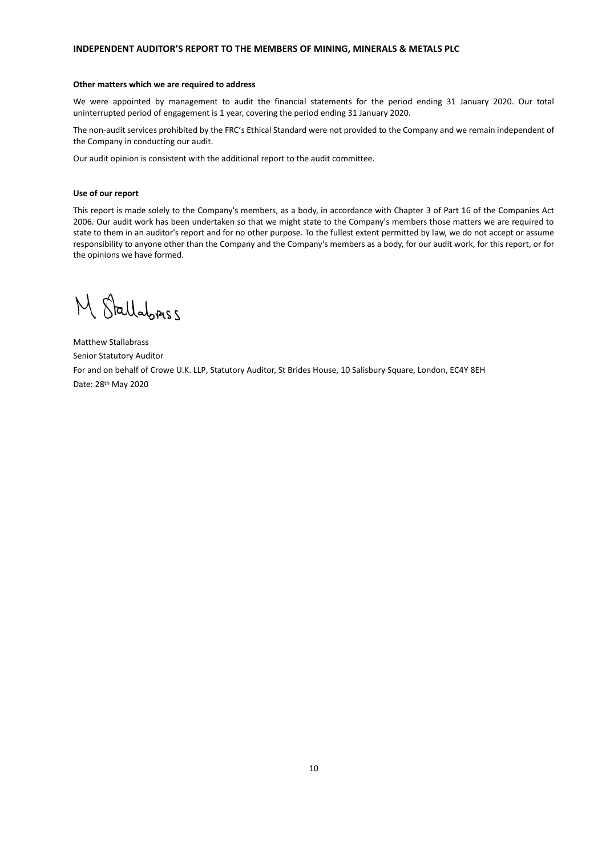# **INDEPENDENT AUDITOR'S REPORT TO THE MEMBERS OF MINING, MINERALS & METALS PLC**

#### **Other matters which we are required to address**

We were appointed by management to audit the financial statements for the period ending 31 January 2020. Our total uninterrupted period of engagement is 1 year, covering the period ending 31 January 2020.

The non-audit services prohibited by the FRC's Ethical Standard were not provided to the Company and we remain independent of the Company in conducting our audit.

Our audit opinion is consistent with the additional report to the audit committee.

### **Use of our report**

This report is made solely to the Company's members, as a body, in accordance with Chapter 3 of Part 16 of the Companies Act 2006. Our audit work has been undertaken so that we might state to the Company's members those matters we are required to state to them in an auditor's report and for no other purpose. To the fullest extent permitted by law, we do not accept or assume responsibility to anyone other than the Company and the Company's members as a body, for our audit work, for this report, or for the opinions we have formed.

M Stallabress

Matthew Stallabrass Senior Statutory Auditor For and on behalf of Crowe U.K. LLP, Statutory Auditor, St Brides House, 10 Salisbury Square, London, EC4Y 8EH Date: 28th May 2020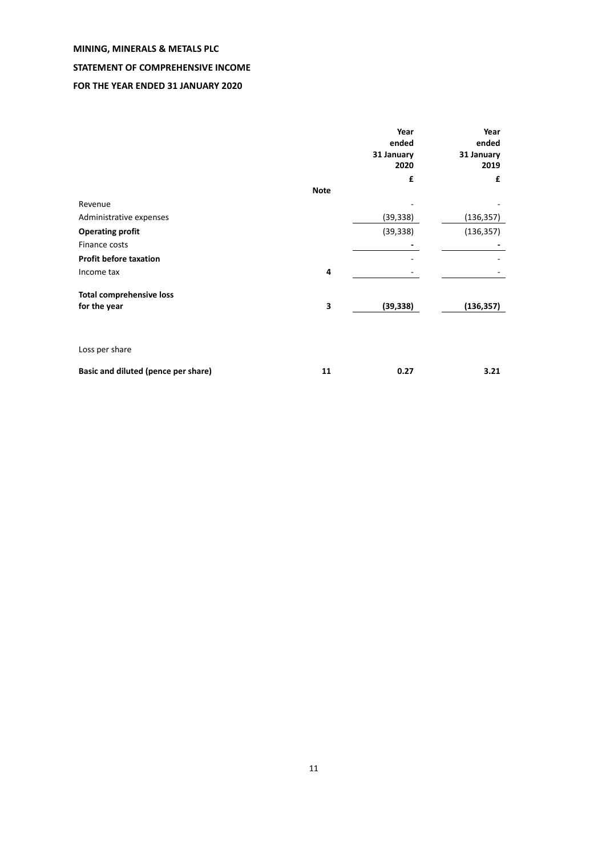# **STATEMENT OF COMPREHENSIVE INCOME**

# **FOR THE YEAR ENDED 31 JANUARY 2020**

|                                     |             | Year<br>ended<br>31 January<br>2020<br>£ | Year<br>ended<br>31 January<br>2019<br>£ |
|-------------------------------------|-------------|------------------------------------------|------------------------------------------|
|                                     | <b>Note</b> |                                          |                                          |
| Revenue                             |             |                                          |                                          |
| Administrative expenses             |             | (39, 338)                                | (136, 357)                               |
| <b>Operating profit</b>             |             | (39, 338)                                | (136, 357)                               |
| Finance costs                       |             |                                          |                                          |
| <b>Profit before taxation</b>       |             |                                          |                                          |
| Income tax                          | 4           |                                          |                                          |
| <b>Total comprehensive loss</b>     |             |                                          |                                          |
| for the year                        | 3           | (39, 338)                                | (136, 357)                               |
|                                     |             |                                          |                                          |
| Loss per share                      |             |                                          |                                          |
| Basic and diluted (pence per share) | 11          | 0.27                                     | 3.21                                     |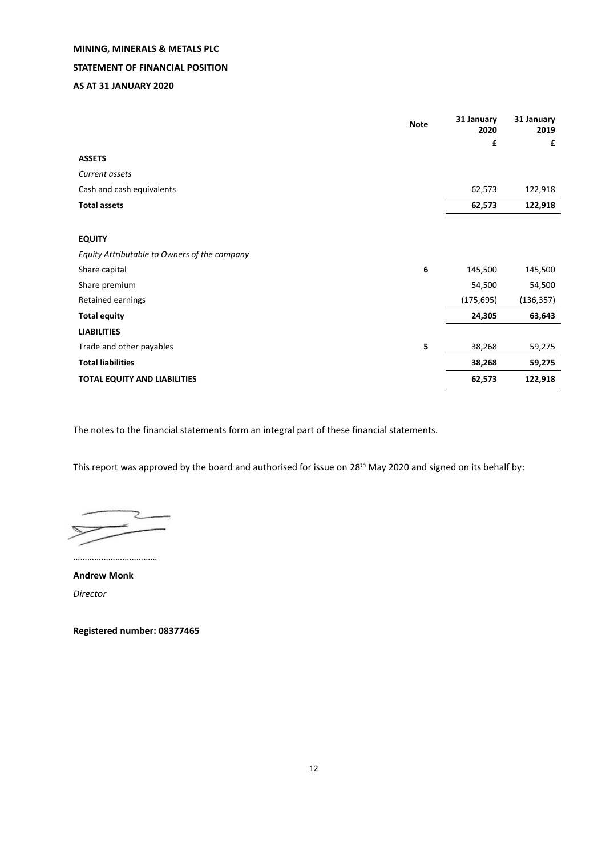# **MINING, MINERALS & METALS PLC STATEMENT OF FINANCIAL POSITION**

# **AS AT 31 JANUARY 2020**

|                                              | <b>Note</b> | 31 January<br>2020 | 31 January<br>2019 |
|----------------------------------------------|-------------|--------------------|--------------------|
|                                              |             | £                  | £                  |
| <b>ASSETS</b>                                |             |                    |                    |
| Current assets                               |             |                    |                    |
| Cash and cash equivalents                    |             | 62,573             | 122,918            |
| <b>Total assets</b>                          |             | 62,573             | 122,918            |
|                                              |             |                    |                    |
| <b>EQUITY</b>                                |             |                    |                    |
| Equity Attributable to Owners of the company |             |                    |                    |
| Share capital                                | 6           | 145,500            | 145,500            |
| Share premium                                |             | 54,500             | 54,500             |
| Retained earnings                            |             | (175, 695)         | (136, 357)         |
| <b>Total equity</b>                          |             | 24,305             | 63,643             |
| <b>LIABILITIES</b>                           |             |                    |                    |
| Trade and other payables                     | 5           | 38,268             | 59,275             |
| <b>Total liabilities</b>                     |             | 38,268             | 59,275             |
| <b>TOTAL EQUITY AND LIABILITIES</b>          |             | 62,573             | 122,918            |

The notes to the financial statements form an integral part of these financial statements.

This report was approved by the board and authorised for issue on 28<sup>th</sup> May 2020 and signed on its behalf by:

………………………………

**Andrew Monk** *Director*

**Registered number: 08377465**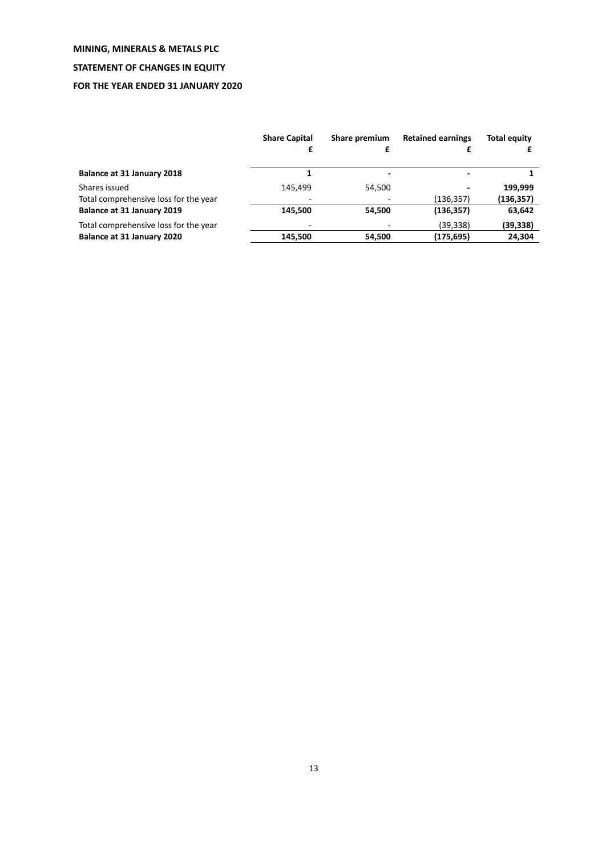# **STATEMENT OF CHANGES IN EQUITY**

# **FOR THE YEAR ENDED 31 JANUARY 2020**

|                                       | <b>Share Capital</b> | Share premium | <b>Retained earnings</b> | <b>Total equity</b> |
|---------------------------------------|----------------------|---------------|--------------------------|---------------------|
| Balance at 31 January 2018            |                      |               |                          |                     |
| Shares issued                         | 145.499              | 54.500        |                          | 199.999             |
| Total comprehensive loss for the year |                      |               | (136,357)                | (136, 357)          |
| Balance at 31 January 2019            | 145.500              | 54,500        | (136, 357)               | 63,642              |
| Total comprehensive loss for the year |                      |               | (39, 338)                | (39, 338)           |
| Balance at 31 January 2020            | 145.500              | 54,500        | (175,695)                | 24,304              |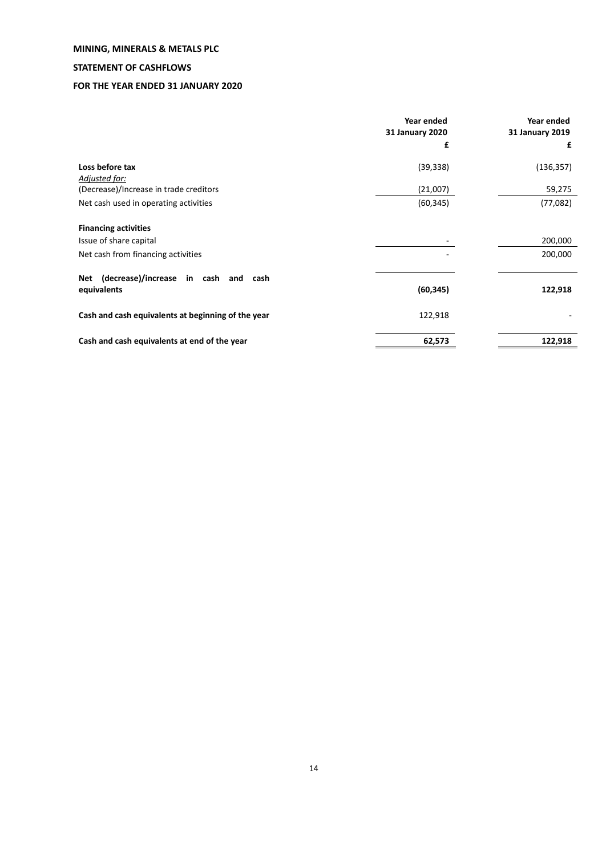# **STATEMENT OF CASHFLOWS**

# **FOR THE YEAR ENDED 31 JANUARY 2020**

|                                                         | Year ended<br>31 January 2020 | Year ended<br>31 January 2019 |
|---------------------------------------------------------|-------------------------------|-------------------------------|
|                                                         | £                             | £                             |
| Loss before tax                                         | (39, 338)                     | (136, 357)                    |
| Adjusted for:<br>(Decrease)/Increase in trade creditors | (21,007)                      | 59,275                        |
| Net cash used in operating activities                   | (60, 345)                     | (77,082)                      |
| <b>Financing activities</b>                             |                               |                               |
| Issue of share capital                                  |                               | 200,000                       |
| Net cash from financing activities                      |                               | 200,000                       |
| (decrease)/increase in cash and cash<br>Net             |                               |                               |
| equivalents                                             | (60, 345)                     | 122,918                       |
| Cash and cash equivalents at beginning of the year      | 122,918                       |                               |
| Cash and cash equivalents at end of the year            | 62,573                        | 122,918                       |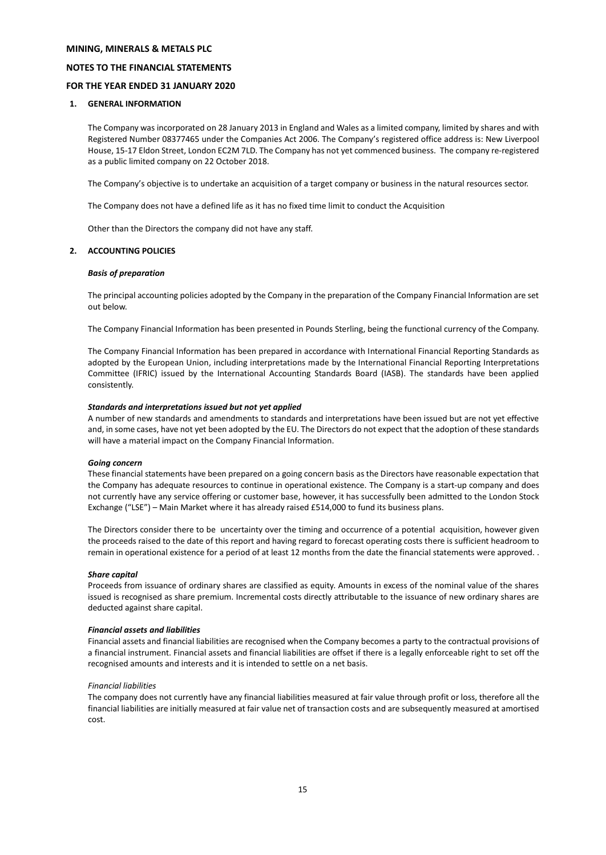### **NOTES TO THE FINANCIAL STATEMENTS**

# **FOR THE YEAR ENDED 31 JANUARY 2020**

### **1. GENERAL INFORMATION**

The Company was incorporated on 28 January 2013 in England and Wales as a limited company, limited by shares and with Registered Number 08377465 under the Companies Act 2006. The Company's registered office address is: New Liverpool House, 15-17 Eldon Street, London EC2M 7LD. The Company has not yet commenced business. The company re-registered as a public limited company on 22 October 2018.

The Company's objective is to undertake an acquisition of a target company or business in the natural resources sector.

The Company does not have a defined life as it has no fixed time limit to conduct the Acquisition

Other than the Directors the company did not have any staff.

# **2. ACCOUNTING POLICIES**

### *Basis of preparation*

The principal accounting policies adopted by the Company in the preparation of the Company Financial Information are set out below.

The Company Financial Information has been presented in Pounds Sterling, being the functional currency of the Company.

The Company Financial Information has been prepared in accordance with International Financial Reporting Standards as adopted by the European Union, including interpretations made by the International Financial Reporting Interpretations Committee (IFRIC) issued by the International Accounting Standards Board (IASB). The standards have been applied consistently.

### *Standards and interpretations issued but not yet applied*

A number of new standards and amendments to standards and interpretations have been issued but are not yet effective and, in some cases, have not yet been adopted by the EU. The Directors do not expect that the adoption of these standards will have a material impact on the Company Financial Information.

### *Going concern*

These financial statements have been prepared on a going concern basis as the Directors have reasonable expectation that the Company has adequate resources to continue in operational existence. The Company is a start-up company and does not currently have any service offering or customer base, however, it has successfully been admitted to the London Stock Exchange ("LSE") – Main Market where it has already raised £514,000 to fund its business plans.

The Directors consider there to be uncertainty over the timing and occurrence of a potential acquisition, however given the proceeds raised to the date of this report and having regard to forecast operating costs there is sufficient headroom to remain in operational existence for a period of at least 12 months from the date the financial statements were approved. .

### *Share capital*

Proceeds from issuance of ordinary shares are classified as equity. Amounts in excess of the nominal value of the shares issued is recognised as share premium. Incremental costs directly attributable to the issuance of new ordinary shares are deducted against share capital.

### *Financial assets and liabilities*

Financial assets and financial liabilities are recognised when the Company becomes a party to the contractual provisions of a financial instrument. Financial assets and financial liabilities are offset if there is a legally enforceable right to set off the recognised amounts and interests and it is intended to settle on a net basis.

#### *Financial liabilities*

The company does not currently have any financial liabilities measured at fair value through profit or loss, therefore all the financial liabilities are initially measured at fair value net of transaction costs and are subsequently measured at amortised cost.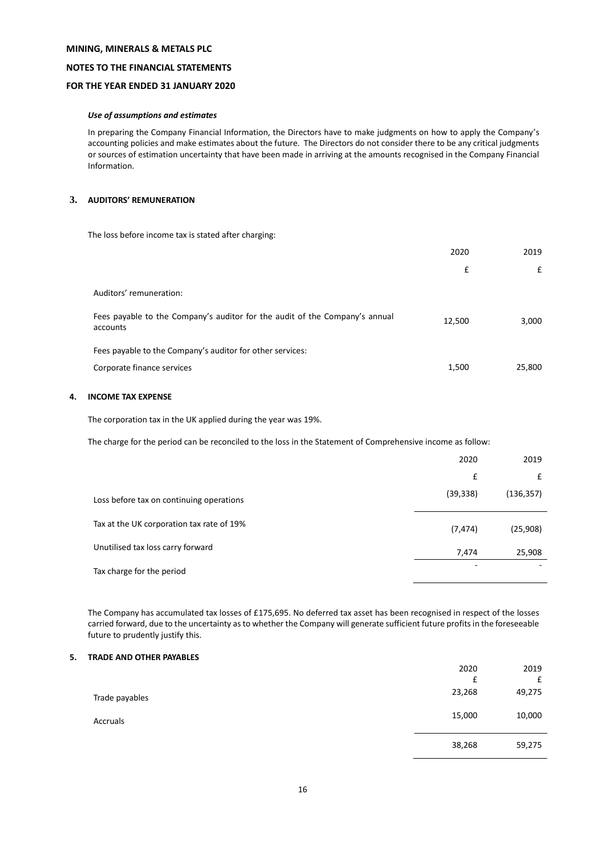# **NOTES TO THE FINANCIAL STATEMENTS**

## **FOR THE YEAR ENDED 31 JANUARY 2020**

### *Use of assumptions and estimates*

In preparing the Company Financial Information, the Directors have to make judgments on how to apply the Company's accounting policies and make estimates about the future. The Directors do not consider there to be any critical judgments or sources of estimation uncertainty that have been made in arriving at the amounts recognised in the Company Financial Information.

# **3. AUDITORS' REMUNERATION**

The loss before income tax is stated after charging:

|                                                                                         | 2020   | 2019   |
|-----------------------------------------------------------------------------------------|--------|--------|
|                                                                                         | £      | £      |
| Auditors' remuneration:                                                                 |        |        |
| Fees payable to the Company's auditor for the audit of the Company's annual<br>accounts | 12,500 | 3,000  |
| Fees payable to the Company's auditor for other services:                               |        |        |
| Corporate finance services                                                              | 1,500  | 25,800 |

# **4. INCOME TAX EXPENSE**

The corporation tax in the UK applied during the year was 19%.

The charge for the period can be reconciled to the loss in the Statement of Comprehensive income as follow:

|                                           | 2020      | 2019       |
|-------------------------------------------|-----------|------------|
|                                           | £         | £          |
| Loss before tax on continuing operations  | (39, 338) | (136, 357) |
| Tax at the UK corporation tax rate of 19% | (7, 474)  | (25,908)   |
| Unutilised tax loss carry forward         | 7,474     | 25,908     |
| Tax charge for the period                 | -         |            |

The Company has accumulated tax losses of £175,695. No deferred tax asset has been recognised in respect of the losses carried forward, due to the uncertainty as to whether the Company will generate sufficient future profits in the foreseeable future to prudently justify this.

# **5. TRADE AND OTHER PAYABLES**

|                | 2020   | 2019   |
|----------------|--------|--------|
|                | £      | £      |
| Trade payables | 23,268 | 49,275 |
| Accruals       | 15,000 | 10,000 |
|                | 38,268 | 59,275 |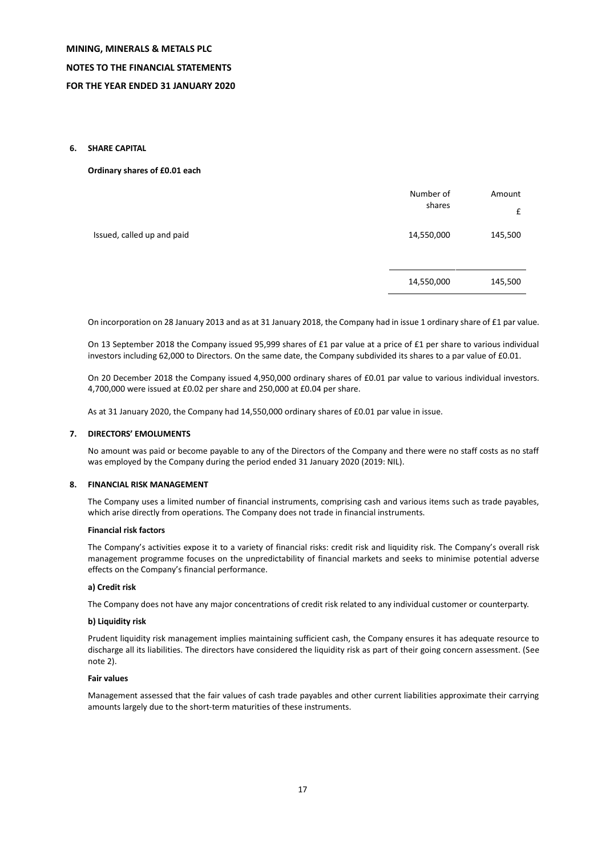### **6. SHARE CAPITAL**

### **Ordinary shares of £0.01 each**

|                            | Number of<br>shares | Amount<br>£ |
|----------------------------|---------------------|-------------|
| Issued, called up and paid | 14,550,000          | 145,500     |
|                            | 14,550,000          | 145,500     |

On incorporation on 28 January 2013 and as at 31 January 2018, the Company had in issue 1 ordinary share of £1 par value.

On 13 September 2018 the Company issued 95,999 shares of £1 par value at a price of £1 per share to various individual investors including 62,000 to Directors. On the same date, the Company subdivided its shares to a par value of £0.01.

On 20 December 2018 the Company issued 4,950,000 ordinary shares of £0.01 par value to various individual investors. 4,700,000 were issued at £0.02 per share and 250,000 at £0.04 per share.

As at 31 January 2020, the Company had 14,550,000 ordinary shares of £0.01 par value in issue.

### **7. DIRECTORS' EMOLUMENTS**

No amount was paid or become payable to any of the Directors of the Company and there were no staff costs as no staff was employed by the Company during the period ended 31 January 2020 (2019: NIL).

### **8. FINANCIAL RISK MANAGEMENT**

The Company uses a limited number of financial instruments, comprising cash and various items such as trade payables, which arise directly from operations. The Company does not trade in financial instruments.

### **Financial risk factors**

The Company's activities expose it to a variety of financial risks: credit risk and liquidity risk. The Company's overall risk management programme focuses on the unpredictability of financial markets and seeks to minimise potential adverse effects on the Company's financial performance.

### **a) Credit risk**

The Company does not have any major concentrations of credit risk related to any individual customer or counterparty.

# **b) Liquidity risk**

Prudent liquidity risk management implies maintaining sufficient cash, the Company ensures it has adequate resource to discharge all its liabilities. The directors have considered the liquidity risk as part of their going concern assessment. (See note 2).

### **Fair values**

Management assessed that the fair values of cash trade payables and other current liabilities approximate their carrying amounts largely due to the short-term maturities of these instruments.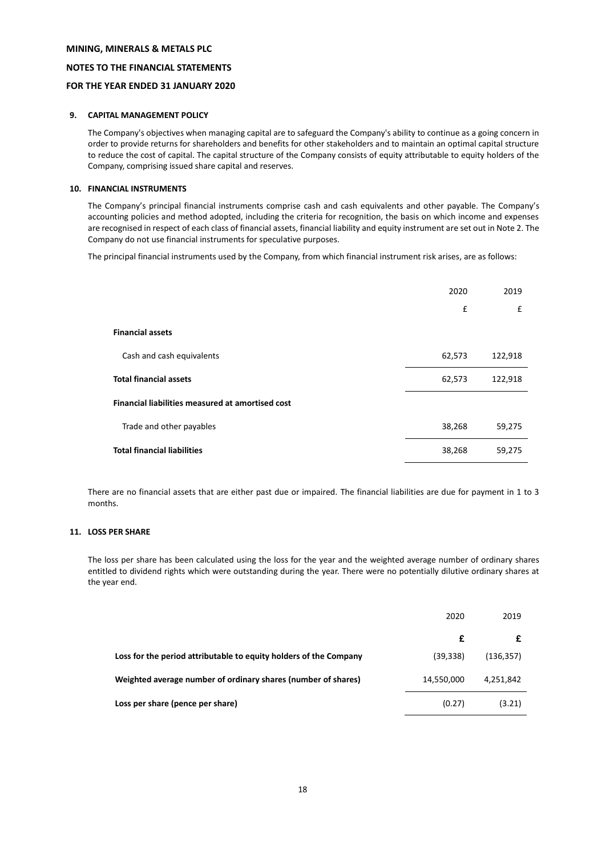## **NOTES TO THE FINANCIAL STATEMENTS**

# **FOR THE YEAR ENDED 31 JANUARY 2020**

### **9. CAPITAL MANAGEMENT POLICY**

The Company's objectives when managing capital are to safeguard the Company's ability to continue as a going concern in order to provide returns for shareholders and benefits for other stakeholders and to maintain an optimal capital structure to reduce the cost of capital. The capital structure of the Company consists of equity attributable to equity holders of the Company, comprising issued share capital and reserves.

### **10. FINANCIAL INSTRUMENTS**

The Company's principal financial instruments comprise cash and cash equivalents and other payable. The Company's accounting policies and method adopted, including the criteria for recognition, the basis on which income and expenses are recognised in respect of each class of financial assets, financial liability and equity instrument are set out in Note 2. The Company do not use financial instruments for speculative purposes.

The principal financial instruments used by the Company, from which financial instrument risk arises, are as follows:

|                                                  | 2020   | 2019    |
|--------------------------------------------------|--------|---------|
|                                                  | £      | £       |
| <b>Financial assets</b>                          |        |         |
| Cash and cash equivalents                        | 62,573 | 122,918 |
| <b>Total financial assets</b>                    | 62,573 | 122,918 |
| Financial liabilities measured at amortised cost |        |         |
| Trade and other payables                         | 38,268 | 59,275  |
| <b>Total financial liabilities</b>               | 38,268 | 59,275  |

There are no financial assets that are either past due or impaired. The financial liabilities are due for payment in 1 to 3 months.

### **11. LOSS PER SHARE**

The loss per share has been calculated using the loss for the year and the weighted average number of ordinary shares entitled to dividend rights which were outstanding during the year. There were no potentially dilutive ordinary shares at the year end.

|                                                                   | 2020       | 2019       |
|-------------------------------------------------------------------|------------|------------|
|                                                                   | £          |            |
| Loss for the period attributable to equity holders of the Company | (39, 338)  | (136, 357) |
| Weighted average number of ordinary shares (number of shares)     | 14,550,000 | 4,251,842  |
| Loss per share (pence per share)                                  | (0.27)     | (3.21)     |